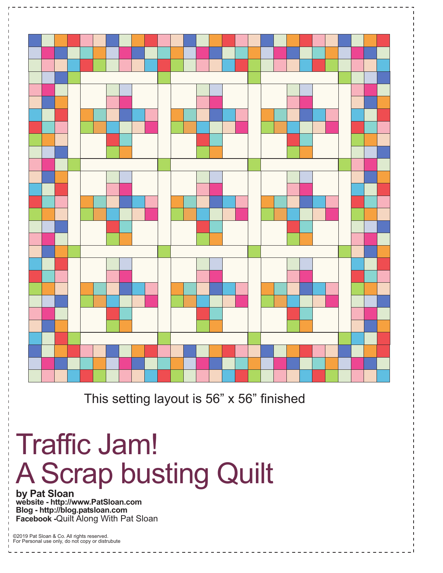

This setting layout is 56"  $\times$  56" finished

## Traffic Jam! A Scrap busting Quilt

**by Pat Sloan website - http://www.PatSloan.com Blog - http://blog.patsloan.com Facebook -**Quilt Along With Pat Sloan

©2019 Pat Sloan & Co. All rights reserved. For Personal use only, do not copy or distrubute  $\frac{1}{2}$  =  $\frac{1}{2}$  =  $\frac{1}{2}$  =  $\frac{1}{2}$  =  $\frac{1}{2}$  =  $\frac{1}{2}$  =  $\frac{1}{2}$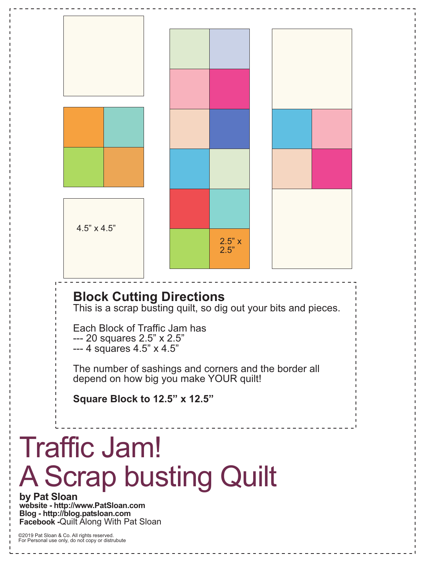

**by Pat Sloan website - http://www.PatSloan.com Blog - http://blog.patsloan.com Facebook -**Quilt Along With Pat Sloan

©2019 Pat Sloan & Co. All rights reserved. For Personal use only, do not copy or distrubute